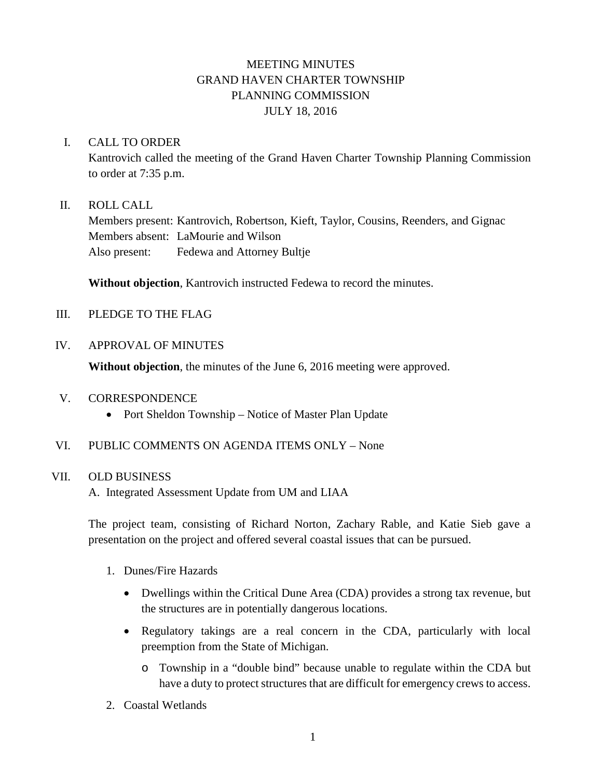# MEETING MINUTES GRAND HAVEN CHARTER TOWNSHIP PLANNING COMMISSION JULY 18, 2016

## I. CALL TO ORDER

Kantrovich called the meeting of the Grand Haven Charter Township Planning Commission to order at 7:35 p.m.

## II. ROLL CALL

Members present: Kantrovich, Robertson, Kieft, Taylor, Cousins, Reenders, and Gignac Members absent: LaMourie and Wilson Also present: Fedewa and Attorney Bultje

**Without objection**, Kantrovich instructed Fedewa to record the minutes.

## III. PLEDGE TO THE FLAG

## IV. APPROVAL OF MINUTES

**Without objection**, the minutes of the June 6, 2016 meeting were approved.

#### V. CORRESPONDENCE

- Port Sheldon Township Notice of Master Plan Update
- VI. PUBLIC COMMENTS ON AGENDA ITEMS ONLY None

#### VII. OLD BUSINESS

A. Integrated Assessment Update from UM and LIAA

The project team, consisting of Richard Norton, Zachary Rable, and Katie Sieb gave a presentation on the project and offered several coastal issues that can be pursued.

- 1. Dunes/Fire Hazards
	- Dwellings within the Critical Dune Area (CDA) provides a strong tax revenue, but the structures are in potentially dangerous locations.
	- Regulatory takings are a real concern in the CDA, particularly with local preemption from the State of Michigan.
		- o Township in a "double bind" because unable to regulate within the CDA but have a duty to protect structures that are difficult for emergency crews to access.
- 2. Coastal Wetlands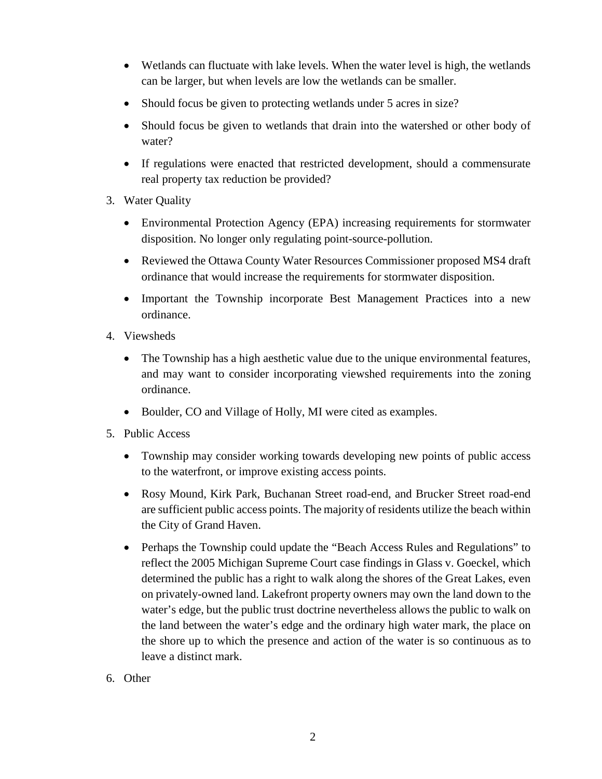- Wetlands can fluctuate with lake levels. When the water level is high, the wetlands can be larger, but when levels are low the wetlands can be smaller.
- Should focus be given to protecting wetlands under 5 acres in size?
- Should focus be given to wetlands that drain into the watershed or other body of water?
- If regulations were enacted that restricted development, should a commensurate real property tax reduction be provided?
- 3. Water Quality
	- Environmental Protection Agency (EPA) increasing requirements for stormwater disposition. No longer only regulating point-source-pollution.
	- Reviewed the Ottawa County Water Resources Commissioner proposed MS4 draft ordinance that would increase the requirements for stormwater disposition.
	- Important the Township incorporate Best Management Practices into a new ordinance.
- 4. Viewsheds
	- The Township has a high aesthetic value due to the unique environmental features, and may want to consider incorporating viewshed requirements into the zoning ordinance.
	- Boulder, CO and Village of Holly, MI were cited as examples.
- 5. Public Access
	- Township may consider working towards developing new points of public access to the waterfront, or improve existing access points.
	- Rosy Mound, Kirk Park, Buchanan Street road-end, and Brucker Street road-end are sufficient public access points. The majority of residents utilize the beach within the City of Grand Haven.
	- Perhaps the Township could update the "Beach Access Rules and Regulations" to reflect the 2005 Michigan Supreme Court case findings in Glass v. Goeckel, which determined the public has a right to walk along the shores of the Great Lakes, even on privately-owned land. Lakefront property owners may own the land down to the water's edge, but the public trust doctrine nevertheless allows the public to walk on the land between the water's edge and the ordinary high water mark, the place on the shore up to which the presence and action of the water is so continuous as to leave a distinct mark.
- 6. Other